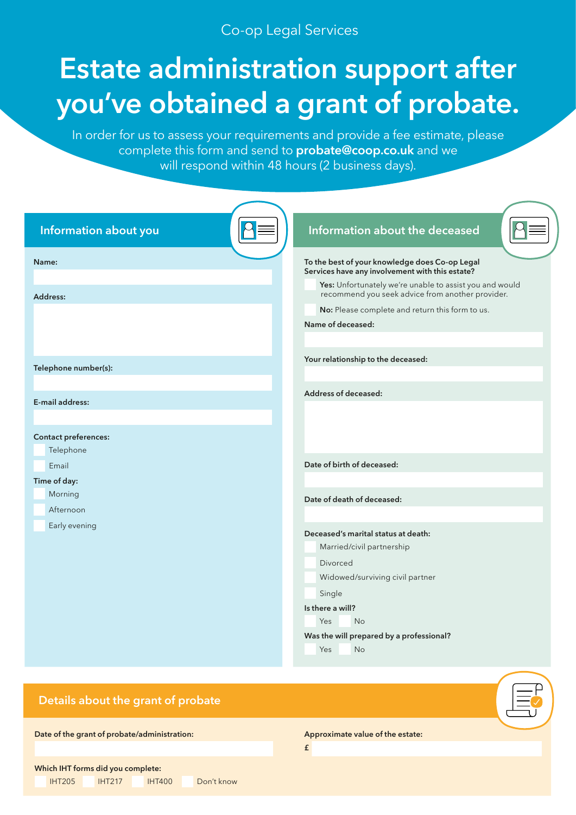# Co-op Legal Services

# **Estate administration support after you've obtained a grant of probate.**

In order for us to assess your requirements and provide a fee estimate, please complete this form and send to **[probate@coop.co.uk](mailto:probate%40coop.co.uk?subject=Estate%20Administration%20Fee%20Estimate%20Form)** and we will respond within 48 hours (2 business days).

| Information about you                   | Information about the deceased                                                                                                                                                                                                                                                           |
|-----------------------------------------|------------------------------------------------------------------------------------------------------------------------------------------------------------------------------------------------------------------------------------------------------------------------------------------|
| Name:<br>Address:                       | To the best of your knowledge does Co-op Legal<br>Services have any involvement with this estate?<br>Yes: Unfortunately we're unable to assist you and would<br>recommend you seek advice from another provider.<br>No: Please complete and return this form to us.<br>Name of deceased: |
| Telephone number(s):                    | Your relationship to the deceased:                                                                                                                                                                                                                                                       |
| E-mail address:<br>Contact preferences: | Address of deceased:                                                                                                                                                                                                                                                                     |
| Telephone<br>Email<br>Time of day:      | Date of birth of deceased:                                                                                                                                                                                                                                                               |
| Morning<br>Afternoon<br>Early evening   | Date of death of deceased:                                                                                                                                                                                                                                                               |
|                                         | Deceased's marital status at death:<br>Married/civil partnership<br><b>Divorced</b><br>Widowed/surviving civil partner<br>Single<br>Is there a will?<br>Yes<br>No<br>Was the will prepared by a professional?<br>Yes<br><b>No</b>                                                        |

## **Details about the grant of probate**

**Date of the grant of probate/administration:**

**Approximate value of the estate:**

**£**